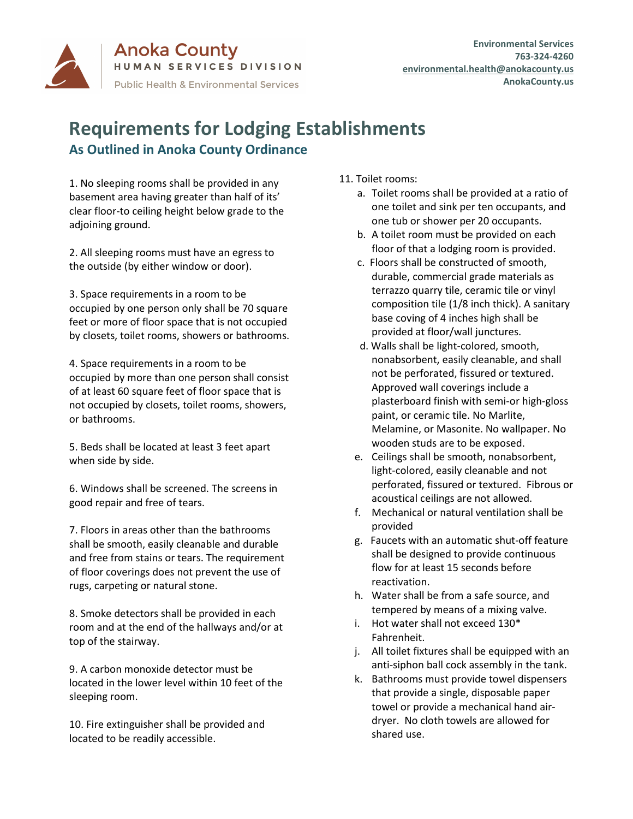

## **Requirements for Lodging Establishments As Outlined in Anoka County Ordinance**

1. No sleeping rooms shall be provided in any basement area having greater than half of its' clear floor-to ceiling height below grade to the adjoining ground.

2. All sleeping rooms must have an egress to the outside (by either window or door).

3. Space requirements in a room to be occupied by one person only shall be 70 square feet or more of floor space that is not occupied by closets, toilet rooms, showers or bathrooms.

4. Space requirements in a room to be occupied by more than one person shall consist of at least 60 square feet of floor space that is not occupied by closets, toilet rooms, showers, or bathrooms.

5. Beds shall be located at least 3 feet apart when side by side.

6. Windows shall be screened. The screens in good repair and free of tears.

7. Floors in areas other than the bathrooms shall be smooth, easily cleanable and durable and free from stains or tears. The requirement of floor coverings does not prevent the use of rugs, carpeting or natural stone.

8. Smoke detectors shall be provided in each room and at the end of the hallways and/or at top of the stairway.

9. A carbon monoxide detector must be located in the lower level within 10 feet of the sleeping room.

10. Fire extinguisher shall be provided and located to be readily accessible.

11. Toilet rooms:

- a. Toilet rooms shall be provided at a ratio of one toilet and sink per ten occupants, and one tub or shower per 20 occupants.
- b. A toilet room must be provided on each floor of that a lodging room is provided.
- c. Floors shall be constructed of smooth, durable, commercial grade materials as terrazzo quarry tile, ceramic tile or vinyl composition tile (1/8 inch thick). A sanitary base coving of 4 inches high shall be provided at floor/wall junctures.
- d. Walls shall be light-colored, smooth, nonabsorbent, easily cleanable, and shall not be perforated, fissured or textured. Approved wall coverings include a plasterboard finish with semi-or high-gloss paint, or ceramic tile. No Marlite, Melamine, or Masonite. No wallpaper. No wooden studs are to be exposed.
- e. Ceilings shall be smooth, nonabsorbent, light-colored, easily cleanable and not perforated, fissured or textured. Fibrous or acoustical ceilings are not allowed.
- f. Mechanical or natural ventilation shall be provided
- g. Faucets with an automatic shut-off feature shall be designed to provide continuous flow for at least 15 seconds before reactivation.
- h. Water shall be from a safe source, and tempered by means of a mixing valve.
- i. Hot water shall not exceed 130\* Fahrenheit.
- j. All toilet fixtures shall be equipped with an anti-siphon ball cock assembly in the tank.
- k. Bathrooms must provide towel dispensers that provide a single, disposable paper towel or provide a mechanical hand airdryer. No cloth towels are allowed for shared use.